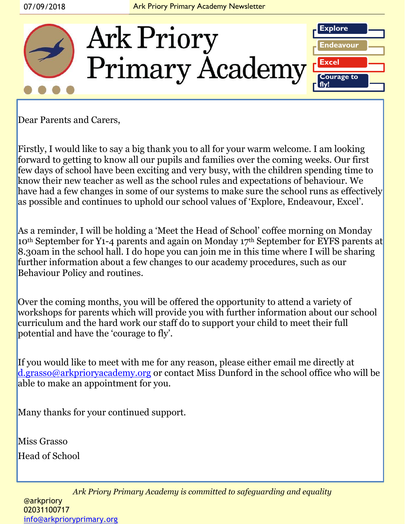

Dear Parents and Carers,

Firstly, I would like to say a big thank you to all for your warm welcome. I am looking forward to getting to know all our pupils and families over the coming weeks. Our first few days of school have been exciting and very busy, with the children spending time to know their new teacher as well as the school rules and expectations of behaviour. We have had a few changes in some of our systems to make sure the school runs as effectively as possible and continues to uphold our school values of 'Explore, Endeavour, Excel'.

As a reminder, I will be holding a 'Meet the Head of School' coffee morning on Monday 10<sup>th</sup> September for Y1-4 parents and again on Monday 17<sup>th</sup> September for EYFS parents at 8.30am in the school hall. I do hope you can join me in this time where I will be sharing further information about a few changes to our academy procedures, such as our Behaviour Policy and routines.

Over the coming months, you will be offered the opportunity to attend a variety of workshops for parents which will provide you with further information about our school curriculum and the hard work our staff do to support your child to meet their full potential and have the 'courage to fly'.

If you would like to meet with me for any reason, please either email me directly at [d.grasso@arkprioryacademy.org](mailto:d.grasso@arkprioryacademy.org) or contact Miss Dunford in the school office who will be able to make an appointment for you.

Many thanks for your continued support.

Miss Grasso Head of School

> *Ark Priory Primary Academy is committed to safeguarding and equality*  @arkpriory 02031100717 [info@arkprioryprimary.org](mailto:info@arkprioryprimary.org)